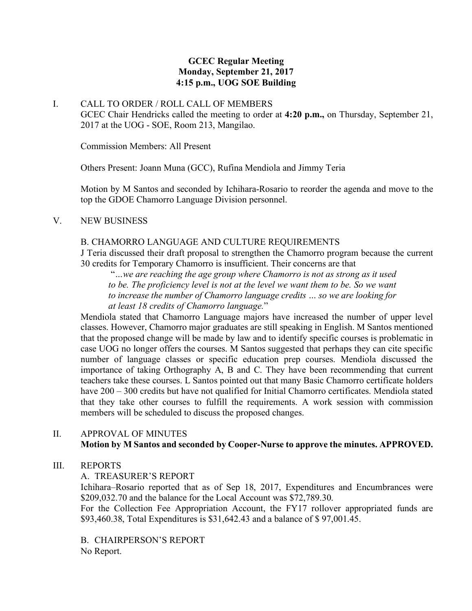### **GCEC Regular Meeting Monday, September 21, 2017 4:15 p.m., UOG SOE Building**

### I. CALL TO ORDER / ROLL CALL OF MEMBERS

GCEC Chair Hendricks called the meeting to order at **4:20 p.m.,** on Thursday, September 21, 2017 at the UOG - SOE, Room 213, Mangilao.

Commission Members: All Present

Others Present: Joann Muna (GCC), Rufina Mendiola and Jimmy Teria

Motion by M Santos and seconded by Ichihara-Rosario to reorder the agenda and move to the top the GDOE Chamorro Language Division personnel.

#### V. NEW BUSINESS

#### B. CHAMORRO LANGUAGE AND CULTURE REQUIREMENTS

J Teria discussed their draft proposal to strengthen the Chamorro program because the current 30 credits for Temporary Chamorro is insufficient. Their concerns are that

"*…we are reaching the age group where Chamorro is not as strong as it used*  to be. The proficiency level is not at the level we want them to be. So we want *to increase the number of Chamorro language credits … so we are looking for at least 18 credits of Chamorro language.*"

Mendiola stated that Chamorro Language majors have increased the number of upper level classes. However, Chamorro major graduates are still speaking in English. M Santos mentioned that the proposed change will be made by law and to identify specific courses is problematic in case UOG no longer offers the courses. M Santos suggested that perhaps they can cite specific number of language classes or specific education prep courses. Mendiola discussed the importance of taking Orthography A, B and C. They have been recommending that current teachers take these courses. L Santos pointed out that many Basic Chamorro certificate holders have 200 – 300 credits but have not qualified for Initial Chamorro certificates. Mendiola stated that they take other courses to fulfill the requirements. A work session with commission members will be scheduled to discuss the proposed changes.

#### II. APPROVAL OF MINUTES

# **Motion by M Santos and seconded by Cooper-Nurse to approve the minutes. APPROVED.**

#### III. REPORTS

#### A. TREASURER'S REPORT

Ichihara–Rosario reported that as of Sep 18, 2017, Expenditures and Encumbrances were \$209,032.70 and the balance for the Local Account was \$72,789.30.

For the Collection Fee Appropriation Account, the FY17 rollover appropriated funds are \$93,460.38, Total Expenditures is \$31,642.43 and a balance of \$ 97,001.45.

B. CHAIRPERSON'S REPORT No Report.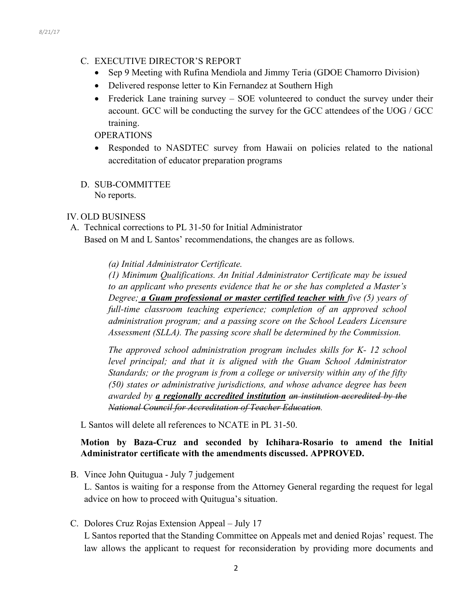## C. EXECUTIVE DIRECTOR'S REPORT

- Sep 9 Meeting with Rufina Mendiola and Jimmy Teria (GDOE Chamorro Division)
- Delivered response letter to Kin Fernandez at Southern High
- Frederick Lane training survey SOE volunteered to conduct the survey under their account. GCC will be conducting the survey for the GCC attendees of the UOG / GCC training.

## OPERATIONS

- Responded to NASDTEC survey from Hawaii on policies related to the national accreditation of educator preparation programs
- D. SUB-COMMITTEE No reports.

# IV. OLD BUSINESS

A. Technical corrections to PL 31-50 for Initial Administrator

Based on M and L Santos' recommendations, the changes are as follows.

### *(a) Initial Administrator Certificate.*

*(1) Minimum Qualifications. An Initial Administrator Certificate may be issued to an applicant who presents evidence that he or she has completed a Master's Degree; a Guam professional or master certified teacher with five (5) years of*  full-time classroom teaching experience; completion of an approved school *administration program; and a passing score on the School Leaders Licensure Assessment (SLLA). The passing score shall be determined by the Commission.* 

*The approved school administration program includes skills for K- 12 school level principal; and that it is aligned with the Guam School Administrator Standards; or the program is from a college or university within any of the fifty (50) states or administrative jurisdictions, and whose advance degree has been awarded by a regionally accredited institution an institution accredited by the National Council for Accreditation of Teacher Education.* 

L Santos will delete all references to NCATE in PL 31-50.

### **Motion by Baza-Cruz and seconded by Ichihara-Rosario to amend the Initial Administrator certificate with the amendments discussed. APPROVED.**

B. Vince John Quitugua - July 7 judgement

L. Santos is waiting for a response from the Attorney General regarding the request for legal advice on how to proceed with Quitugua's situation.

C. Dolores Cruz Rojas Extension Appeal – July 17

L Santos reported that the Standing Committee on Appeals met and denied Rojas' request. The law allows the applicant to request for reconsideration by providing more documents and